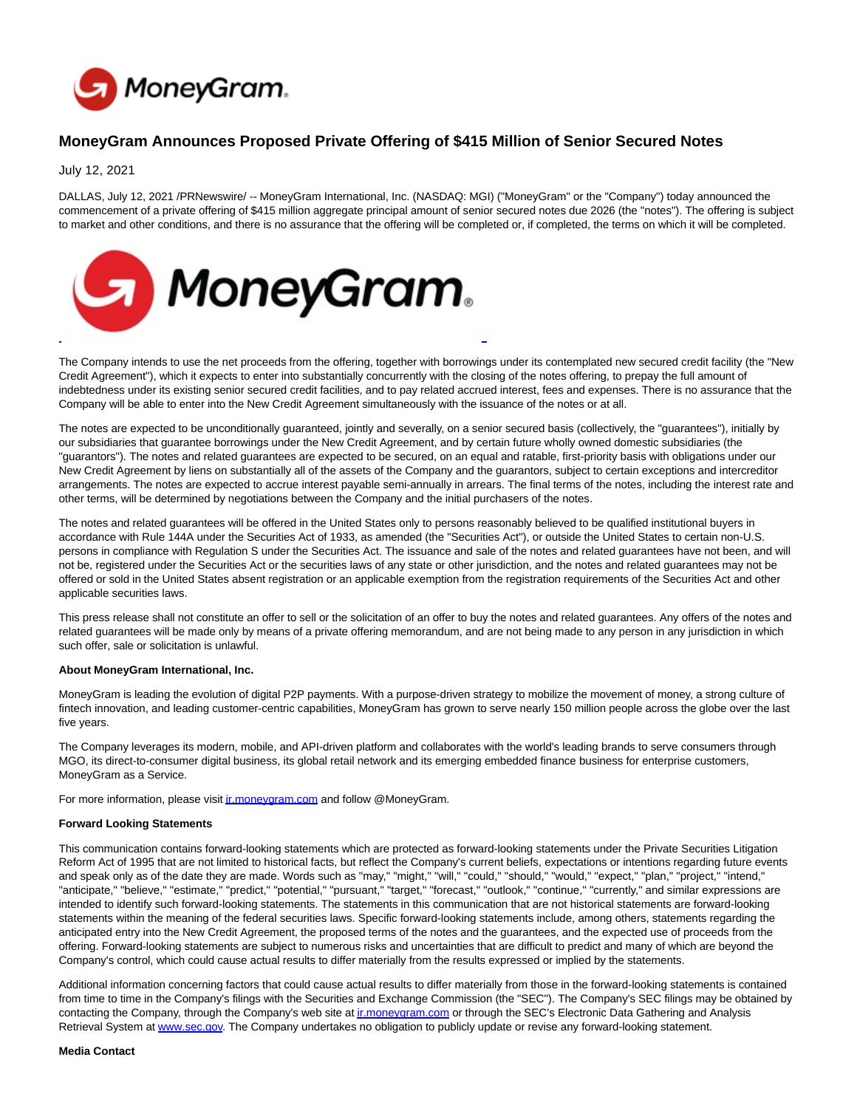

## **MoneyGram Announces Proposed Private Offering of \$415 Million of Senior Secured Notes**

July 12, 2021

DALLAS, July 12, 2021 /PRNewswire/ -- MoneyGram International, Inc. (NASDAQ: MGI) ("MoneyGram" or the "Company") today announced the commencement of a private offering of \$415 million aggregate principal amount of senior secured notes due 2026 (the "notes"). The offering is subject to market and other conditions, and there is no assurance that the offering will be completed or, if completed, the terms on which it will be completed.



The Company intends to use the net proceeds from the offering, together with borrowings under its contemplated new secured credit facility (the "New Credit Agreement"), which it expects to enter into substantially concurrently with the closing of the notes offering, to prepay the full amount of indebtedness under its existing senior secured credit facilities, and to pay related accrued interest, fees and expenses. There is no assurance that the Company will be able to enter into the New Credit Agreement simultaneously with the issuance of the notes or at all.

The notes are expected to be unconditionally guaranteed, jointly and severally, on a senior secured basis (collectively, the "guarantees"), initially by our subsidiaries that guarantee borrowings under the New Credit Agreement, and by certain future wholly owned domestic subsidiaries (the "guarantors"). The notes and related guarantees are expected to be secured, on an equal and ratable, first-priority basis with obligations under our New Credit Agreement by liens on substantially all of the assets of the Company and the guarantors, subject to certain exceptions and intercreditor arrangements. The notes are expected to accrue interest payable semi-annually in arrears. The final terms of the notes, including the interest rate and other terms, will be determined by negotiations between the Company and the initial purchasers of the notes.

The notes and related guarantees will be offered in the United States only to persons reasonably believed to be qualified institutional buyers in accordance with Rule 144A under the Securities Act of 1933, as amended (the "Securities Act"), or outside the United States to certain non-U.S. persons in compliance with Regulation S under the Securities Act. The issuance and sale of the notes and related guarantees have not been, and will not be, registered under the Securities Act or the securities laws of any state or other jurisdiction, and the notes and related guarantees may not be offered or sold in the United States absent registration or an applicable exemption from the registration requirements of the Securities Act and other applicable securities laws.

This press release shall not constitute an offer to sell or the solicitation of an offer to buy the notes and related guarantees. Any offers of the notes and related guarantees will be made only by means of a private offering memorandum, and are not being made to any person in any jurisdiction in which such offer, sale or solicitation is unlawful.

## **About MoneyGram International, Inc.**

MoneyGram is leading the evolution of digital P2P payments. With a purpose-driven strategy to mobilize the movement of money, a strong culture of fintech innovation, and leading customer-centric capabilities, MoneyGram has grown to serve nearly 150 million people across the globe over the last five years.

The Company leverages its modern, mobile, and API-driven platform and collaborates with the world's leading brands to serve consumers through MGO, its direct-to-consumer digital business, its global retail network and its emerging embedded finance business for enterprise customers, MoneyGram as a Service.

For more information, please visit *ir.moneygram.com* and follow @MoneyGram.

## **Forward Looking Statements**

This communication contains forward-looking statements which are protected as forward-looking statements under the Private Securities Litigation Reform Act of 1995 that are not limited to historical facts, but reflect the Company's current beliefs, expectations or intentions regarding future events and speak only as of the date they are made. Words such as "may," "might," "will," "could," "should," "would," "expect," "plan," "project," "intend," "anticipate," "believe," "estimate," "predict," "potential," "pursuant," "target," "forecast," "outlook," "continue," "currently," and similar expressions are intended to identify such forward-looking statements. The statements in this communication that are not historical statements are forward-looking statements within the meaning of the federal securities laws. Specific forward-looking statements include, among others, statements regarding the anticipated entry into the New Credit Agreement, the proposed terms of the notes and the guarantees, and the expected use of proceeds from the offering. Forward-looking statements are subject to numerous risks and uncertainties that are difficult to predict and many of which are beyond the Company's control, which could cause actual results to differ materially from the results expressed or implied by the statements.

Additional information concerning factors that could cause actual results to differ materially from those in the forward-looking statements is contained from time to time in the Company's filings with the Securities and Exchange Commission (the "SEC"). The Company's SEC filings may be obtained by contacting the Company, through the Company's web site at in moneygram.com or through the SEC's Electronic Data Gathering and Analysis Retrieval System at [www.sec.gov.](https://c212.net/c/link/?t=0&l=en&o=3224956-1&h=601305335&u=http%3A%2F%2Fwww.sec.gov%2F&a=www.sec.gov) The Company undertakes no obligation to publicly update or revise any forward-looking statement.